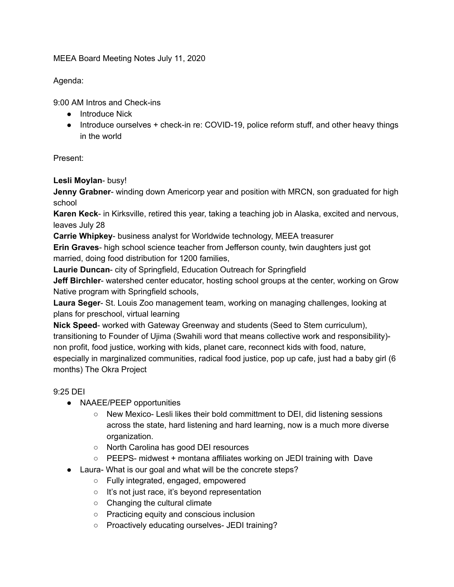MEEA Board Meeting Notes July 11, 2020

Agenda:

9:00 AM Intros and Check-ins

- Introduce Nick
- Introduce ourselves + check-in re: COVID-19, police reform stuff, and other heavy things in the world

Present:

**Lesli Moylan**- busy!

**Jenny Grabner**- winding down Americorp year and position with MRCN, son graduated for high school

**Karen Keck**- in Kirksville, retired this year, taking a teaching job in Alaska, excited and nervous, leaves July 28

**Carrie Whipkey**- business analyst for Worldwide technology, MEEA treasurer

**Erin Graves**- high school science teacher from Jefferson county, twin daughters just got married, doing food distribution for 1200 families,

**Laurie Duncan**- city of Springfield, Education Outreach for Springfield

**Jeff Birchler**- watershed center educator, hosting school groups at the center, working on Grow Native program with Springfield schools,

**Laura Seger**- St. Louis Zoo management team, working on managing challenges, looking at plans for preschool, virtual learning

**Nick Speed**- worked with Gateway Greenway and students (Seed to Stem curriculum), transitioning to Founder of Ujima (Swahili word that means collective work and responsibility) non profit, food justice, working with kids, planet care, reconnect kids with food, nature, especially in marginalized communities, radical food justice, pop up cafe, just had a baby girl (6 months) The Okra Project

## 9:25 DEI

- NAAEE/PEEP opportunities
	- New Mexico- Lesli likes their bold committment to DEI, did listening sessions across the state, hard listening and hard learning, now is a much more diverse organization.
	- North Carolina has good DEI resources
	- PEEPS- midwest + montana affiliates working on JEDI training with Dave
- Laura- What is our goal and what will be the concrete steps?
	- Fully integrated, engaged, empowered
	- It's not just race, it's beyond representation
	- Changing the cultural climate
	- Practicing equity and conscious inclusion
	- Proactively educating ourselves- JEDI training?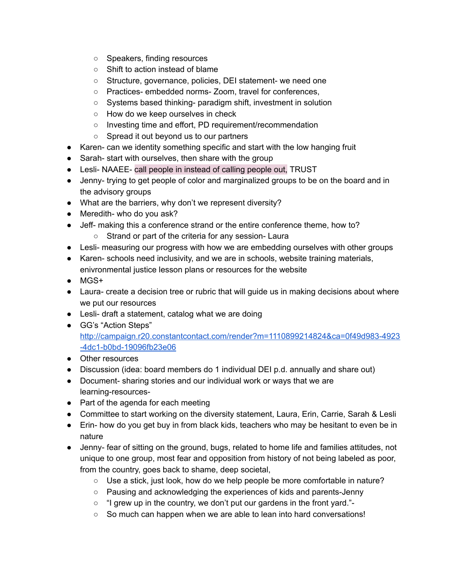- Speakers, finding resources
- Shift to action instead of blame
- Structure, governance, policies, DEI statement- we need one
- Practices- embedded norms- Zoom, travel for conferences,
- Systems based thinking- paradigm shift, investment in solution
- How do we keep ourselves in check
- Investing time and effort, PD requirement/recommendation
- Spread it out beyond us to our partners
- Karen- can we identity something specific and start with the low hanging fruit
- Sarah- start with ourselves, then share with the group
- Lesli- NAAEE- call people in instead of calling people out, TRUST
- Jenny- trying to get people of color and marginalized groups to be on the board and in the advisory groups
- What are the barriers, why don't we represent diversity?
- Meredith- who do you ask?
- Jeff- making this a conference strand or the entire conference theme, how to?
	- Strand or part of the criteria for any session- Laura
- Lesli- measuring our progress with how we are embedding ourselves with other groups
- Karen- schools need inclusivity, and we are in schools, website training materials, enivronmental justice lesson plans or resources for the website
- MGS+
- Laura- create a decision tree or rubric that will guide us in making decisions about where we put our resources
- Lesli- draft a statement, catalog what we are doing
- GG's "Action Steps" [http://campaign.r20.constantcontact.com/render?m=1110899214824&ca=0f49d983-4923](http://campaign.r20.constantcontact.com/render?m=1110899214824&ca=0f49d983-4923-4dc1-b0bd-19096fb23e06) [-4dc1-b0bd-19096fb23e06](http://campaign.r20.constantcontact.com/render?m=1110899214824&ca=0f49d983-4923-4dc1-b0bd-19096fb23e06)
- Other resources
- Discussion (idea: board members do 1 individual DEI p.d. annually and share out)
- Document- sharing stories and our individual work or ways that we are learning-resources-
- Part of the agenda for each meeting
- Committee to start working on the diversity statement, Laura, Erin, Carrie, Sarah & Lesli
- Erin- how do you get buy in from black kids, teachers who may be hesitant to even be in nature
- Jenny- fear of sitting on the ground, bugs, related to home life and families attitudes, not unique to one group, most fear and opposition from history of not being labeled as poor, from the country, goes back to shame, deep societal,
	- Use a stick, just look, how do we help people be more comfortable in nature?
	- Pausing and acknowledging the experiences of kids and parents-Jenny
	- "I grew up in the country, we don't put our gardens in the front yard."-
	- So much can happen when we are able to lean into hard conversations!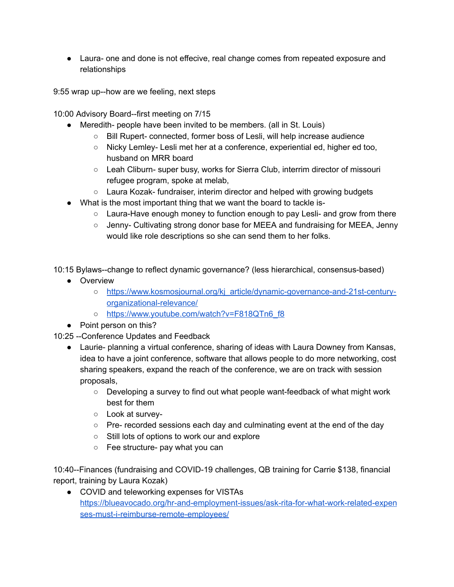● Laura- one and done is not effecive, real change comes from repeated exposure and relationships

9:55 wrap up--how are we feeling, next steps

10:00 Advisory Board--first meeting on 7/15

- Meredith- people have been invited to be members. (all in St. Louis)
	- Bill Rupert- connected, former boss of Lesli, will help increase audience
	- Nicky Lemley- Lesli met her at a conference, experiential ed, higher ed too, husband on MRR board
	- Leah Cliburn- super busy, works for Sierra Club, interrim director of missouri refugee program, spoke at melab,
	- Laura Kozak- fundraiser, interim director and helped with growing budgets
- What is the most important thing that we want the board to tackle is-
	- $\circ$  Laura-Have enough money to function enough to pay Lesli- and grow from there
	- Jenny- Cultivating strong donor base for MEEA and fundraising for MEEA, Jenny would like role descriptions so she can send them to her folks.

10:15 Bylaws--change to reflect dynamic governance? (less hierarchical, consensus-based)

- Overview
	- [https://www.kosmosjournal.org/kj\\_article/dynamic-governance-and-21st-century](https://www.kosmosjournal.org/kj_article/dynamic-governance-and-21st-century-organizational-relevance/)[organizational-relevance/](https://www.kosmosjournal.org/kj_article/dynamic-governance-and-21st-century-organizational-relevance/)
	- o [https://www.youtube.com/watch?v=F818QTn6\\_f8](https://www.youtube.com/watch?v=F818QTn6_f8)
- Point person on this?
- 10:25 --Conference Updates and Feedback
	- Laurie- planning a virtual conference, sharing of ideas with Laura Downey from Kansas, idea to have a joint conference, software that allows people to do more networking, cost sharing speakers, expand the reach of the conference, we are on track with session proposals,
		- $\circ$  Developing a survey to find out what people want-feedback of what might work best for them
		- Look at survey-
		- Pre- recorded sessions each day and culminating event at the end of the day
		- Still lots of options to work our and explore
		- Fee structure- pay what you can

10:40--Finances (fundraising and COVID-19 challenges, QB training for Carrie \$138, financial report, training by Laura Kozak)

● COVID and teleworking expenses for VISTAs [https://blueavocado.org/hr-and-employment-issues/ask-rita-for-what-work-related-expen](https://blueavocado.org/hr-and-employment-issues/ask-rita-for-what-work-related-expenses-must-i-reimburse-remote-employees/) [ses-must-i-reimburse-remote-employees/](https://blueavocado.org/hr-and-employment-issues/ask-rita-for-what-work-related-expenses-must-i-reimburse-remote-employees/)